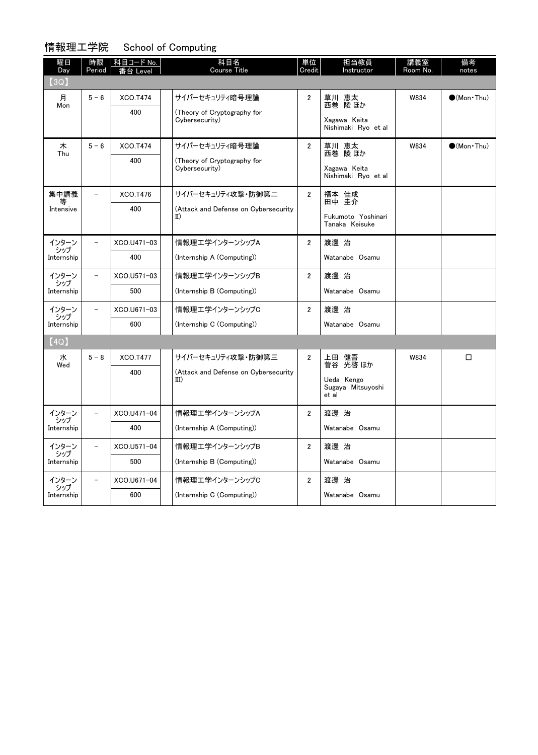### 情報理工学院 School of Computing

| 曜日<br>Day     | 時限<br>Period             | │ 科目コード No.<br>台 Level | 科目名<br><b>Course Title</b>                          | 単位<br>Credit   | 担当教員<br>Instructor                   | 講義室<br>Room No. | 備考<br>notes            |
|---------------|--------------------------|------------------------|-----------------------------------------------------|----------------|--------------------------------------|-----------------|------------------------|
| (3Q)          |                          |                        |                                                     |                |                                      |                 |                        |
| 月<br>Mon      | $5 - 6$                  | <b>XCO.T474</b><br>400 | サイバーセキュリティ暗号理論<br>(Theory of Cryptography for       | $\overline{2}$ | 草川 恵太<br>西巻 陵ほか                      | W834            | $\bigcirc$ (Mon · Thu) |
|               |                          |                        | Cybersecurity)                                      |                | Xagawa Keita<br>Nishimaki Ryo et al  |                 |                        |
| 木<br>Thu      | $5 - 6$                  | <b>XCO.T474</b>        | サイバーセキュリティ暗号理論                                      | $\overline{2}$ | 草川 恵太<br>西巻 陵ほか                      | W834            | $\bigcirc$ (Mon · Thu) |
|               |                          | 400                    | (Theory of Cryptography for<br>Cybersecurity)       |                | Xagawa Keita<br>Nishimaki Ryo et al  |                 |                        |
| 集中講義          |                          | XCO.T476               | サイバーセキュリティ攻撃・防御第二                                   | $\overline{2}$ | 福本 佳成<br>田中 圭介                       |                 |                        |
| Intensive     |                          | 400                    | (Attack and Defense on Cybersecurity<br>$_{\rm II}$ |                | Fukumoto Yoshinari<br>Tanaka Keisuke |                 |                        |
| インターン<br>シップ  |                          | XCO.U471-03            | 情報理エ学インターンシップA                                      | $\overline{2}$ | 渡邊 治                                 |                 |                        |
| Internship    |                          | 400                    | (Internship A (Computing))                          |                | Watanabe Osamu                       |                 |                        |
| インターン<br>シップ  |                          | XCO.U571-03            | 情報理エ学インターンシップB                                      | $\overline{2}$ | 渡邊 治                                 |                 |                        |
| Internship    |                          | 500                    | (Internship B (Computing))                          |                | Watanabe Osamu                       |                 |                        |
| インターン<br>シップ  |                          | XCO.U671-03            | 情報理工学インターンシップC                                      | $\overline{2}$ | 渡邊 治                                 |                 |                        |
| Internship    |                          | 600                    | (Internship C (Computing))                          |                | Watanabe Osamu                       |                 |                        |
| (4Q)          |                          |                        |                                                     |                |                                      |                 |                        |
| 水<br>Wed      | $5 - 8$                  | XCO.T477               | サイバーセキュリティ攻撃・防御第三                                   | $\overline{2}$ | 上田 健吾<br>菅谷 光啓 ほか                    | W834            | □                      |
|               |                          | 400                    | (Attack and Defense on Cybersecurity<br>III)        |                | Ueda Kengo<br>Sugaya Mitsuyoshi      |                 |                        |
|               |                          |                        |                                                     |                | et al                                |                 |                        |
| インターン<br>・シップ |                          | XCO.U471-04            | 情報理エ学インターンシップA                                      | $\overline{2}$ | 渡邊 治                                 |                 |                        |
| Internship    |                          | 400                    | (Internship A (Computing))                          |                | Watanabe Osamu                       |                 |                        |
| インターン<br>シップ  | $\overline{\phantom{0}}$ | XCO.U571-04            | 情報理エ学インターンシップB                                      | $\overline{2}$ | 渡邊 治                                 |                 |                        |
| Internship    |                          | 500                    | (Internship B (Computing))                          |                | Watanabe Osamu                       |                 |                        |
| インターン<br>シップ  |                          | XCO.U671-04            | 情報理エ学インターンシップC                                      | $\overline{2}$ | 渡邊 治                                 |                 |                        |
| Internship    |                          | 600                    | (Internship C (Computing))                          |                | Watanabe Osamu                       |                 |                        |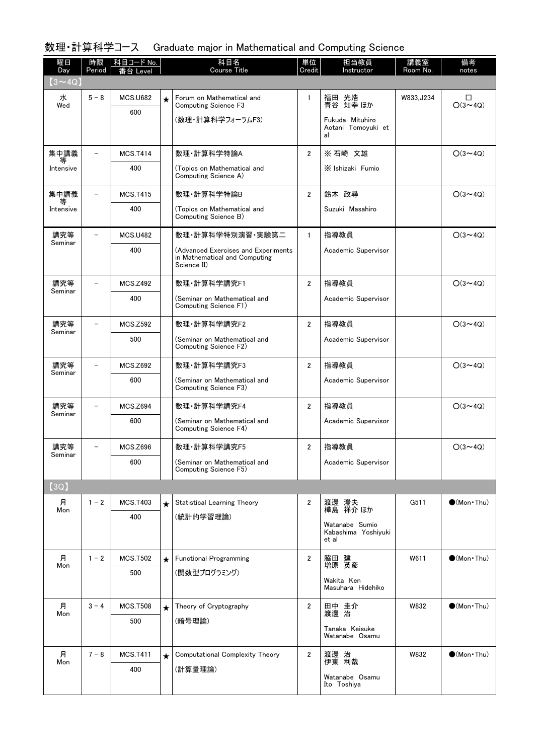## 数理・計算科学コース Graduate major in Mathematical and Computing Science

| 曜日<br>Day      | 時限<br>Period | 科目コード No.<br>Level |         | 科目名<br><b>Course Title</b>                                                          | 単位<br>Credit   | 担当教員<br>Instructor                          | 講義室<br>Room No. | 備考<br>notes              |
|----------------|--------------|--------------------|---------|-------------------------------------------------------------------------------------|----------------|---------------------------------------------|-----------------|--------------------------|
| $(3 \sim 4Q)$  |              |                    |         |                                                                                     |                |                                             |                 |                          |
| 水<br>Wed       | $5 - 8$      | <b>MCS.U682</b>    | $\star$ | Forum on Mathematical and<br><b>Computing Science F3</b>                            | $\mathbf{1}$   | 福田 光浩<br>青谷 知幸 ほか                           | W833, J234      | $\Box$<br>$O(3 \sim 4Q)$ |
|                |              | 600                |         | (数理・計算科学フォーラムF3)                                                                    |                | Fukuda Mituhiro<br>Aotani Tomoyuki et<br>al |                 |                          |
| 集中講義           |              | <b>MCS.T414</b>    |         | 数理·計算科学特論A                                                                          | $\overline{2}$ | ※ 石崎 文雄                                     |                 | $O(3 \sim 4Q)$           |
| 等<br>Intensive |              | 400                |         | (Topics on Mathematical and<br>Computing Science A)                                 |                | X Ishizaki Fumio                            |                 |                          |
| 集中講義           |              | <b>MCS.T415</b>    |         | 数理·計算科学特論B                                                                          | $\overline{2}$ | 鈴木 政尋                                       |                 | $O(3 \sim 4Q)$           |
| Intensive      |              | 400                |         | (Topics on Mathematical and<br>Computing Science B)                                 |                | Suzuki Masahiro                             |                 |                          |
| 講究等<br>Seminar |              | <b>MCS.U482</b>    |         | 数理·計算科学特別演習·実験第二                                                                    | $\mathbf{1}$   | 指導教員                                        |                 | $O(3 \sim 4Q)$           |
|                |              | 400                |         | (Advanced Exercises and Experiments<br>in Mathematical and Computing<br>Science II) |                | Academic Supervisor                         |                 |                          |
| 講究等<br>Seminar |              | <b>MCS.Z492</b>    |         | 数理·計算科学講究F1                                                                         | $\overline{2}$ | 指導教員                                        |                 | $O(3 \sim 4Q)$           |
|                |              | 400                |         | (Seminar on Mathematical and<br>Computing Science F1)                               |                | Academic Supervisor                         |                 |                          |
| 講究等<br>Seminar |              | <b>MCS.Z592</b>    |         | 数理·計算科学講究F2                                                                         | $\overline{2}$ | 指導教員                                        |                 | $O(3 \sim 4Q)$           |
|                |              | 500                |         | (Seminar on Mathematical and<br>Computing Science F2)                               |                | Academic Supervisor                         |                 |                          |
| 講究等<br>Seminar |              | <b>MCS.Z692</b>    |         | 数理·計算科学講究F3                                                                         | $\overline{2}$ | 指導教員                                        |                 | $O(3 \sim 4Q)$           |
|                |              | 600                |         | (Seminar on Mathematical and<br>Computing Science F3)                               |                | Academic Supervisor                         |                 |                          |
| 講究等<br>Seminar |              | <b>MCS.Z694</b>    |         | 数理·計算科学講究F4                                                                         | $\overline{2}$ | 指導教員                                        |                 | $O(3 \sim 4Q)$           |
|                |              | 600                |         | (Seminar on Mathematical and<br>Computing Science F4)                               |                | Academic Supervisor                         |                 |                          |
| 講究等<br>Seminar |              | <b>MCS.Z696</b>    |         | 数理·計算科学講究F5                                                                         | $\mathbf{2}$   | 指導教員                                        |                 | $O(3 \sim 4Q)$           |
|                |              | 600                |         | (Seminar on Mathematical and<br>Computing Science F5)                               |                | Academic Supervisor                         |                 |                          |
| [3Q]           |              |                    |         |                                                                                     |                |                                             |                 |                          |
| 月<br>Mon       | $1 - 2$      | <b>MCS.T403</b>    | $\star$ | Statistical Learning Theory                                                         | $\overline{2}$ | 渡邊 澄夫<br>樺島 祥介ほか                            | G511            | $\bullet$ (Mon Thu)      |
|                |              | 400                |         | (統計的学習理論)                                                                           |                | Watanabe Sumio                              |                 |                          |
|                |              |                    |         |                                                                                     |                | Kabashima Yoshiyuki<br>et al                |                 |                          |
| 月              | $1 - 2$      | <b>MCS.T502</b>    | $\star$ | <b>Functional Programming</b>                                                       | $\overline{2}$ | 脇田 建<br>増原 英彦                               | W611            | $\bigcirc$ (Mon · Thu)   |
| Mon            |              | 500                |         | (関数型プログラミング)                                                                        |                | Wakita Ken                                  |                 |                          |
|                |              |                    |         |                                                                                     |                | Masuhara Hidehiko                           |                 |                          |
| 月<br>Mon       | $3 - 4$      | <b>MCS.T508</b>    | $\star$ | Theory of Cryptography                                                              | $\overline{2}$ | 田中 圭介<br>渡邊 治                               | W832            | $\bullet$ (Mon · Thu)    |
|                |              | 500                |         | (暗号理論)                                                                              |                | Tanaka Keisuke                              |                 |                          |
|                |              |                    |         |                                                                                     |                | Watanabe Osamu                              |                 |                          |
| 月<br>Mon       | $7 - 8$      | <b>MCS.T411</b>    | $\star$ | Computational Complexity Theory                                                     | $\overline{2}$ | 渡邊 治<br>伊東 利哉                               | W832            | $\bullet$ (Mon·Thu)      |
|                |              | 400                |         | (計算量理論)                                                                             |                | Watanabe Osamu<br>Ito Toshiya               |                 |                          |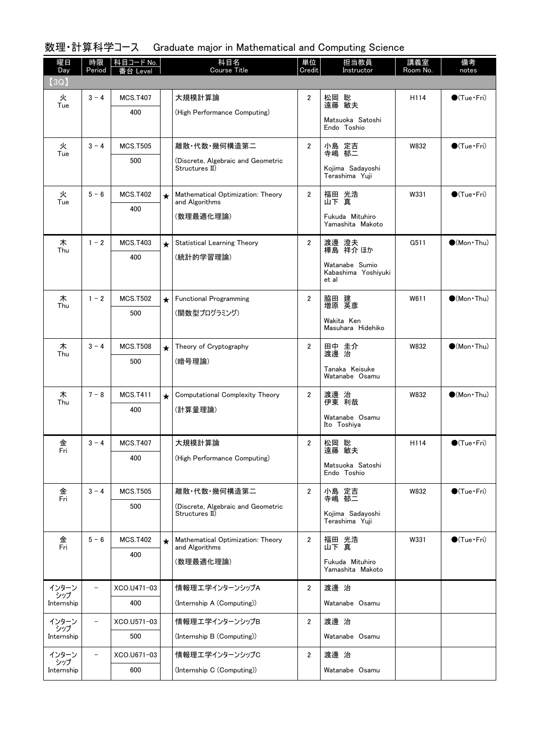## 数理・計算科学コース Graduate major in Mathematical and Computing Science

| 曜日<br>Day    | 時限<br>Period             | 科目コード No.<br>番台 Level |         | 科目名<br>Course Title                                  | 単位<br>Credit   | 担当教員<br>Instructor                             | 講義室<br>Room No. | 備考<br>notes                 |
|--------------|--------------------------|-----------------------|---------|------------------------------------------------------|----------------|------------------------------------------------|-----------------|-----------------------------|
| (3Q)         |                          |                       |         |                                                      |                |                                                |                 |                             |
| 火<br>Tue     | $3 - 4$                  | <b>MCS.T407</b>       |         | 大規模計算論                                               | 2              | 松岡 聡<br>遠藤 敏夫                                  | H114            | $\bigcirc$ (Tue•Fri)        |
|              |                          | 400                   |         | (High Performance Computing)                         |                | Matsuoka Satoshi<br>Endo Toshio                |                 |                             |
|              |                          |                       |         |                                                      |                |                                                |                 |                             |
| 火<br>Tue     | $3 - 4$                  | <b>MCS.T505</b>       |         | 離散·代数·幾何構造第二                                         | $\overline{2}$ | 小島 定吉<br>寺嶋 郁二                                 | W832            | $\bigcirc$ (Tue·Fri)        |
|              |                          | 500                   |         | (Discrete, Algebraic and Geometric<br>Structures II) |                | Kojima Sadayoshi<br>Terashima Yuji             |                 |                             |
| 火            | $5 - 6$                  | <b>MCS.T402</b>       | $\star$ | Mathematical Optimization: Theory                    | $\overline{2}$ | 福田 光浩<br>山下 真                                  | W331            | $\bigcirc$ (Tue · Fri)      |
| Tue          |                          | 400                   |         | and Algorithms<br>(数理最適化理論)                          |                | Fukuda Mituhiro                                |                 |                             |
|              |                          |                       |         |                                                      |                | Yamashita Makoto                               |                 |                             |
| 木            | $1 - 2$                  | <b>MCS.T403</b>       | $\star$ | <b>Statistical Learning Theory</b>                   | $\overline{2}$ | 渡邊 澄夫<br>樺島 祥介ほか                               | G511            | $\bigcirc$ (Mon · Thu)      |
| Thu          |                          | 400                   |         | (統計的学習理論)                                            |                |                                                |                 |                             |
|              |                          |                       |         |                                                      |                | Watanabe Sumio<br>Kabashima Yoshiyuki<br>et al |                 |                             |
| 木<br>Thu     | $1 - 2$                  | <b>MCS.T502</b>       | $\star$ | <b>Functional Programming</b>                        | 2              | 脇田 建<br>増原 英彦                                  | W611            | $\bigcirc$ (Mon · Thu)      |
|              |                          | 500                   |         | (関数型プログラミング)                                         |                | Wakita Ken                                     |                 |                             |
|              |                          |                       |         |                                                      |                | Masuhara Hidehiko                              |                 |                             |
| 木<br>Thu     | $3 - 4$                  | <b>MCS.T508</b>       | $\star$ | Theory of Cryptography                               | 2              | 田中 圭介<br>渡邊 治                                  | W832            | $\bullet$ (Mon $\cdot$ Thu) |
|              |                          | 500                   |         | (暗号理論)                                               |                | Tanaka Keisuke                                 |                 |                             |
|              |                          |                       |         |                                                      |                | Watanabe Osamu                                 |                 |                             |
| 木<br>Thu     | $7 - 8$                  | <b>MCS.T411</b>       | $\star$ | Computational Complexity Theory                      | 2              | 渡邊 治<br>伊東 利哉                                  | W832            | $\bigcirc$ (Mon · Thu)      |
|              |                          | 400                   |         | (計算量理論)                                              |                | Watanabe Osamu                                 |                 |                             |
|              |                          |                       |         |                                                      |                | Ito Toshiya                                    |                 |                             |
| 金<br>Fri     | $3 - 4$                  | <b>MCS.T407</b>       |         | 大規模計算論                                               | 2              | 松岡 聡<br>遠藤 敏夫                                  | H114            | $\bigcirc$ (Tue · Fri)      |
|              |                          | 400                   |         | (High Performance Computing)                         |                | Matsuoka Satoshi                               |                 |                             |
|              |                          |                       |         |                                                      |                | Endo Toshio                                    |                 |                             |
| 金<br>Fri     | $3 - 4$                  | <b>MCS.T505</b>       |         | 離散·代数·幾何構造第二                                         | $\overline{2}$ | 小島 定吉<br>寺嶋 郁二                                 | W832            | $\bigcirc$ (Tue · Fri)      |
|              |                          | 500                   |         | (Discrete, Algebraic and Geometric<br>Structures II) |                | Koiima Sadavoshi                               |                 |                             |
|              |                          |                       |         |                                                      |                | Terashima Yuji                                 |                 |                             |
| 金<br>Fri     | $5 - 6$                  | <b>MCS.T402</b>       | $\star$ | Mathematical Optimization: Theory<br>and Algorithms  | $\overline{2}$ | 福田 光浩<br>山下 真                                  | W331            | $\bigcirc$ (Tue · Fri)      |
|              |                          | 400                   |         | (数理最適化理論)                                            |                | Fukuda Mituhiro                                |                 |                             |
|              |                          |                       |         |                                                      |                | Yamashita Makoto                               |                 |                             |
| インターン<br>シップ | $\overline{\phantom{0}}$ | XCO.U471-03           |         | 情報理エ学インターンシップA                                       | $\overline{2}$ | 渡邊 治                                           |                 |                             |
| Internship   |                          | 400                   |         | (Internship A (Computing))                           |                | Watanabe Osamu                                 |                 |                             |
| インターン<br>シップ | $\overline{\phantom{0}}$ | XCO.U571-03           |         | 情報理エ学インターンシップB                                       | $\overline{2}$ | 渡邊 治                                           |                 |                             |
| Internship   |                          | 500                   |         | (Internship B (Computing))                           |                | Watanabe Osamu                                 |                 |                             |
| インターン<br>シップ | $\overline{\phantom{0}}$ | XCO.U671-03           |         | 情報理エ学インターンシップC                                       | $\mathbf{2}$   | 渡邊 治                                           |                 |                             |
| Internship   |                          | 600                   |         | (Internship C (Computing))                           |                | Watanabe Osamu                                 |                 |                             |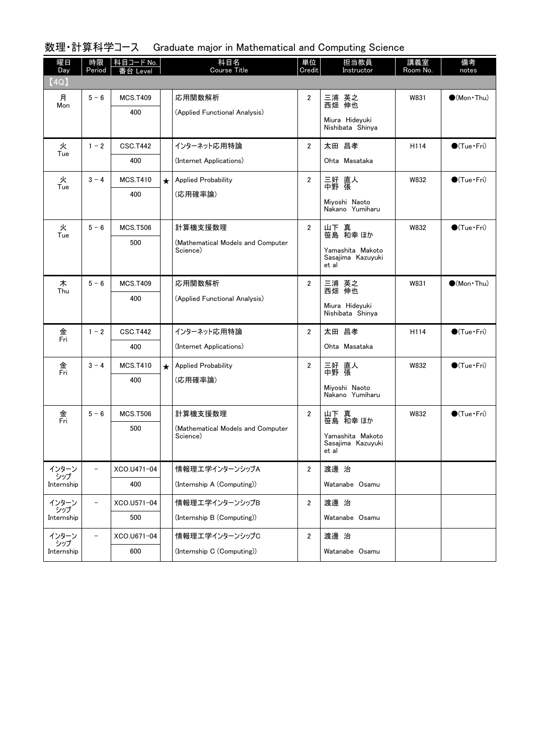#### 数理・計算科学コース Graduate major in Mathematical and Computing Science

| 曜日<br>Day                  | 時限<br>Period             | 科目コード No.<br>番台 Level  |         | 科目名<br>Course Title                                      | 単位<br>Credit   | 担当教員<br>Instructor                                                 | 講義室<br>Room No. | 備考<br>notes            |
|----------------------------|--------------------------|------------------------|---------|----------------------------------------------------------|----------------|--------------------------------------------------------------------|-----------------|------------------------|
| (4Q)                       |                          |                        |         |                                                          |                |                                                                    |                 |                        |
| 月<br>Mon                   | $5 - 6$                  | <b>MCS.T409</b><br>400 |         | 応用関数解析<br>(Applied Functional Analysis)                  | 2              | 三浦 英之<br>西畑 伸也<br>Miura Hideyuki<br>Nishibata Shinya               | W831            | $\bigcirc$ (Mon · Thu) |
| 火<br>Tue                   | $1 - 2$                  | <b>CSC.T442</b><br>400 |         | インターネット応用特論<br>(Internet Applications)                   | $\overline{2}$ | 太田 昌孝<br>Ohta Masataka                                             | H114            | $\bigcirc$ (Tue · Fri) |
| 火<br>Tue                   | $3 - 4$                  | <b>MCS.T410</b><br>400 | $\star$ | <b>Applied Probability</b><br>(応用確率論)                    | $\overline{2}$ | 三好 直人<br>中野 張<br>Miyoshi Naoto<br>Nakano Yumiharu                  | W832            | $\bigcirc$ (Tue•Fri)   |
| 火<br>Tue                   | $5 - 6$                  | <b>MCS.T506</b><br>500 |         | 計算機支援数理<br>(Mathematical Models and Computer<br>Science) | $\overline{2}$ | 山下 真<br>笹島 和幸 ほか<br>Yamashita Makoto<br>Sasajima Kazuyuki<br>et al | W832            | $\bigcirc$ (Tue · Fri) |
| 木<br>Thu                   | $5 - 6$                  | <b>MCS.T409</b><br>400 |         | 応用関数解析<br>(Applied Functional Analysis)                  | $\overline{2}$ | 三浦 英之<br>西畑 伸也<br>Miura Hidevuki<br>Nishibata Shinya               | W831            | $(Mon\cdot Thu)$       |
| 金<br>Fri                   | $1 - 2$                  | <b>CSC.T442</b><br>400 |         | インターネット応用特論<br>(Internet Applications)                   | $\overline{2}$ | 太田 昌孝<br>Ohta Masataka                                             | H114            | $\bigcirc$ (Tue · Fri) |
| 金<br>Fri                   | $3 - 4$                  | <b>MCS.T410</b><br>400 | $\star$ | <b>Applied Probability</b><br>(応用確率論)                    | 2              | 三好 直人<br>中野 張<br>Miyoshi Naoto<br>Nakano Yumiharu                  | W832            | $\bigcirc$ (Tue · Fri) |
| 金<br>Fri                   | $5 - 6$                  | <b>MCS.T506</b><br>500 |         | 計算機支援数理<br>(Mathematical Models and Computer<br>Science) | $\overline{2}$ | 山下 真<br>笹島 和幸 ほか<br>Yamashita Makoto<br>Sasajima Kazuyuki<br>et al | W832            | $\bigcirc$ (Tue · Fri) |
| インターン<br>シップ<br>Internship | $\overline{\phantom{0}}$ | XCO.U471-04<br>400     |         | 情報理工学インターンシップA<br>(Internship A (Computing))             | $\overline{2}$ | 渡邊 治<br>Watanabe Osamu                                             |                 |                        |
| インターン<br>シップ<br>Internship | $\overline{\phantom{0}}$ | XCO.U571-04<br>500     |         | 情報理工学インターンシップB<br>(Internship B (Computing))             | $\overline{2}$ | 渡邊 治<br>Watanabe Osamu                                             |                 |                        |
| インターン<br>シップ<br>Internship | $\overline{\phantom{0}}$ | XCO.U671-04<br>600     |         | 情報理エ学インターンシップC<br>(Internship C (Computing))             | $\mathbf{2}$   | 渡邊 治<br>Watanabe Osamu                                             |                 |                        |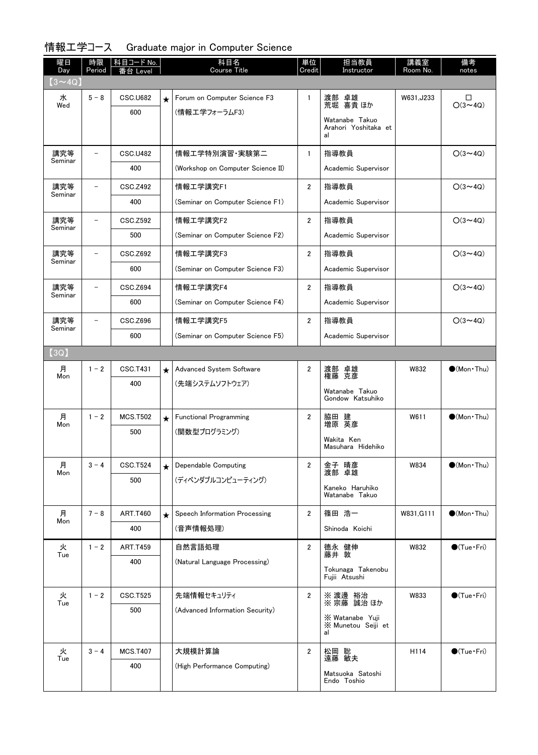# 情報工学コース Graduate major in Computer Science

| 曜日<br>Day      | 時限<br>Period | 科目コード No.       |         | 科目名<br><b>Course Title</b>        | 単位<br>Credit   | 担当教員<br>Instructor                           | 講義室<br>Room No. | 備考<br>notes            |
|----------------|--------------|-----------------|---------|-----------------------------------|----------------|----------------------------------------------|-----------------|------------------------|
| $(3 \sim 4Q)$  |              |                 |         |                                   |                |                                              |                 |                        |
| 水<br>Wed       | $5 - 8$      | <b>CSC.U682</b> | $\star$ | Forum on Computer Science F3      | $\mathbf{1}$   | 渡部 卓雄<br>荒堀 喜貴 ほか                            | W631, J233      | □<br>$O(3 \sim 4Q)$    |
|                |              | 600             |         | (情報工学フォーラムF3)                     |                | Watanabe Takuo<br>Arahori Yoshitaka et<br>al |                 |                        |
| 講究等            |              | <b>CSC.U482</b> |         | 情報工学特別演習・実験第二                     | $\mathbf{1}$   | 指導教員                                         |                 | $O(3 \sim 4Q)$         |
| Seminar        |              | 400             |         | (Workshop on Computer Science II) |                | Academic Supervisor                          |                 |                        |
| 講究等<br>Seminar |              | <b>CSC.Z492</b> |         | 情報工学講究F1                          | 2              | 指導教員                                         |                 | $O(3 \sim 4Q)$         |
|                |              | 400             |         | (Seminar on Computer Science F1)  |                | Academic Supervisor                          |                 |                        |
| 講究等<br>Seminar |              | CSC.Z592        |         | 情報工学講究F2                          | $\overline{2}$ | 指導教員                                         |                 | $O(3 \sim 4Q)$         |
|                |              | 500             |         | (Seminar on Computer Science F2)  |                | Academic Supervisor                          |                 |                        |
| 講究等<br>Seminar |              | CSC.Z692        |         | 情報工学講究F3                          | $\overline{2}$ | 指導教員                                         |                 | $O(3 \sim 4Q)$         |
|                |              | 600             |         | (Seminar on Computer Science F3)  |                | Academic Supervisor                          |                 |                        |
| 講究等<br>Seminar |              | <b>CSC.Z694</b> |         | 情報工学講究F4                          | $\overline{2}$ | 指導教員                                         |                 | $O(3 \sim 4Q)$         |
|                |              | 600             |         | (Seminar on Computer Science F4)  |                | Academic Supervisor                          |                 |                        |
| 講究等<br>Seminar |              | CSC.Z696        |         | 情報工学講究F5                          | $\overline{2}$ | 指導教員                                         |                 | $O(3 \sim 4Q)$         |
|                |              | 600             |         | (Seminar on Computer Science F5)  |                | Academic Supervisor                          |                 |                        |
| (3Q)           |              |                 |         |                                   |                |                                              |                 |                        |
| 月<br>Mon       | $1 - 2$      | CSC.T431        | $\star$ | Advanced System Software          | $\overline{2}$ | 渡部 卓雄<br>権藤 克彦                               | W832            | $\bigcirc$ (Mon · Thu) |
|                |              | 400             |         | (先端システムソフトウェア)                    |                | Watanabe Takuo<br>Gondow Katsuhiko           |                 |                        |
| 月              | $1 - 2$      | <b>MCS.T502</b> | $\star$ | <b>Functional Programming</b>     | $\overline{2}$ | 脇田 建<br>増原 英彦                                | W611            | $\bigcirc$ (Mon Thu)   |
| Mon            |              | 500             |         | (関数型プログラミング)                      |                | Wakita Ken                                   |                 |                        |
|                |              |                 |         |                                   |                | Masuhara Hidehiko                            |                 |                        |
| 月<br>Mon       | $3 - 4$      | <b>CSC.T524</b> | $\star$ | Dependable Computing              | 2              | 金子 晴彦<br>渡部 卓雄                               | W834            | $\bullet$ (Mon · Thu)  |
|                |              | 500             |         | (ディペンダブルコンピューティング)                |                | Kaneko Haruhiko                              |                 |                        |
|                |              |                 |         |                                   |                | Watanabe Takuo                               |                 |                        |
| 月<br>Mon       | $7 - 8$      | <b>ART.T460</b> | $\star$ | Speech Information Processing     | 2              | 篠田 浩一                                        | W831, G111      | $\bigcirc$ (Mon · Thu) |
|                |              | 400             |         | (音声情報処理)                          |                | Shinoda Koichi                               |                 |                        |
| 火<br>Tue       | $1 - 2$      | <b>ART.T459</b> |         | 自然言語処理                            | 2              | 德永 健伸<br>藤井 敦                                | W832            | $\bigcirc$ (Tue · Fri) |
|                |              | 400             |         | (Natural Language Processing)     |                | Tokunaga Takenobu                            |                 |                        |
|                |              |                 |         |                                   |                | Fujii Atsushi                                |                 |                        |
| 火<br>Tue       | $1 - 2$      | <b>CSC.T525</b> |         | 先端情報セキュリティ                        | 2              | ※ 渡邊 裕治<br>※ 宗藤 誠治 ほか                        | W833            | $\bigcirc$ (Tue · Fri) |
|                |              | 500             |         | (Advanced Information Security)   |                | X Watanabe Yuji<br>X Munetou Seiji et<br>al  |                 |                        |
| 火              | $3 - 4$      | <b>MCS.T407</b> |         | 大規模計算論                            | $\overline{2}$ | 松岡 聡<br>遠藤 敏夫                                | H114            | $\bigcirc$ (Tue · Fri) |
| Tue            |              | 400             |         | (High Performance Computing)      |                | Matsuoka Satoshi<br>Endo Toshio              |                 |                        |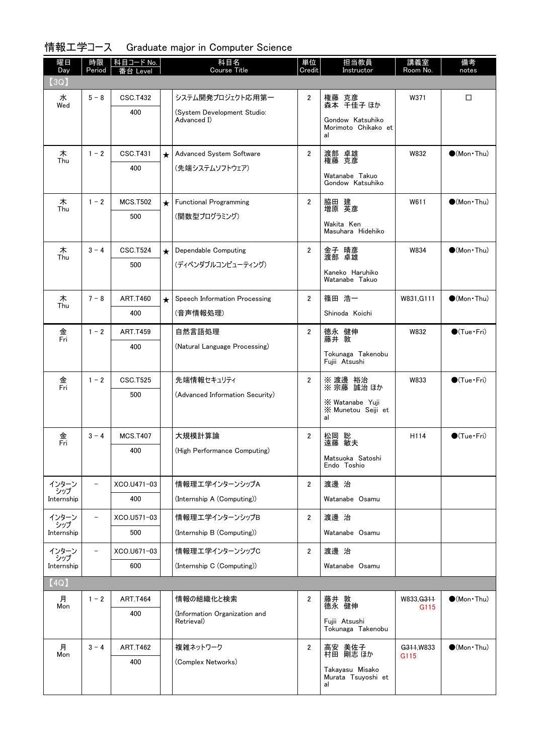# 情報工学コース Graduate major in Computer Science

| 曜日<br>Day         | 時限<br>Period             | │科目コード No. │<br>钅台 Level |         | 科目名<br><b>Course Title</b>                  | 単位<br>Credit   | 担当教員<br>Instructor              | 講義室<br>Room No.  | 備考<br>notes                  |
|-------------------|--------------------------|--------------------------|---------|---------------------------------------------|----------------|---------------------------------|------------------|------------------------------|
| (3Q)              |                          |                          |         |                                             |                |                                 |                  |                              |
| 水                 | $5 - 8$                  | <b>CSC.T432</b>          |         | システム開発プロジェクト応用第一                            | $\overline{2}$ | 権藤 克彦<br>森本 千佳子ほか               | W371             | □                            |
| Wed               |                          | 400                      |         | (System Development Studio:<br>Advanced I)  |                | Gondow Katsuhiko                |                  |                              |
|                   |                          |                          |         |                                             |                | Morimoto Chikako et<br>al       |                  |                              |
| 木<br>Thu          | $1 - 2$                  | <b>CSC.T431</b>          | $\star$ | Advanced System Software                    | $\overline{2}$ | 渡部 卓雄<br>権藤 克彦                  | W832             | $\bigcirc$ (Mon · Thu)       |
|                   |                          | 400                      |         | (先端システムソフトウェア)                              |                | Watanabe Takuo                  |                  |                              |
|                   |                          |                          |         |                                             |                | Gondow Katsuhiko                |                  |                              |
| 木<br>Thu          | $1 - 2$                  | <b>MCS.T502</b>          | $\star$ | <b>Functional Programming</b>               | $\overline{2}$ | 脇田 建<br>増原 英彦                   | W611             | $\bullet$ (Mon · Thu)        |
|                   |                          | 500                      |         | (関数型プログラミング)                                |                | Wakita Ken                      |                  |                              |
|                   |                          |                          |         |                                             |                | Masuhara Hidehiko               |                  |                              |
| 木<br>Thu          | $3 - 4$                  | <b>CSC.T524</b>          | $\star$ | Dependable Computing                        | $\overline{2}$ | 金子 晴彦<br>渡部 卓雄                  | W834             | $\bigcirc$ (Mon · Thu)       |
|                   |                          | 500                      |         | (ディペンダブルコンピューティング)                          |                | Kaneko Haruhiko                 |                  |                              |
|                   |                          |                          |         |                                             |                | Watanabe Takuo                  |                  |                              |
| 木<br>Thu          | $7 - 8$                  | <b>ART.T460</b>          | $\star$ | Speech Information Processing               | $\overline{2}$ | 篠田 浩一                           | W831, G111       | $\bigcirc$ (Mon · Thu)       |
|                   |                          | 400                      |         | (音声情報処理)                                    |                | Shinoda Koichi                  |                  |                              |
| 金<br>Fri          | $1 - 2$                  | <b>ART.T459</b>          |         | 自然言語処理                                      | $\overline{2}$ | 德永 健伸<br>藤井 敦                   | W832             | $\bigcirc$ (Tue $\cdot$ Fri) |
|                   |                          | 400                      |         | (Natural Language Processing)               |                | Tokunaga Takenobu               |                  |                              |
|                   |                          |                          |         |                                             |                | Fujii Atsushi                   |                  |                              |
| 金<br>Fri          | $1 - 2$                  | <b>CSC.T525</b>          |         | 先端情報セキュリティ                                  | $\overline{2}$ | ※ 渡邊 裕治<br>※ 宗藤 誠治 ほか           | W833             | $\bigcirc$ (Tue $\cdot$ Fri) |
|                   |                          | 500                      |         | (Advanced Information Security)             |                | X Watanabe Yuji                 |                  |                              |
|                   |                          |                          |         |                                             |                | X Munetou Seiji et<br>al        |                  |                              |
| 金                 | $3 - 4$                  | <b>MCS.T407</b>          |         | 大規模計算論                                      | $\overline{2}$ | 松岡 聡<br>遠藤 敏夫                   | H114             | $\bigcirc$ (Tue $\cdot$ Fri) |
| Fri               |                          | 400                      |         | (High Performance Computing)                |                |                                 |                  |                              |
|                   |                          |                          |         |                                             |                | Matsuoka Satoshi<br>Endo Toshio |                  |                              |
| インターン             |                          | XCO.U471-03              |         | 情報理工学インターンシップA                              | $\overline{2}$ | 渡邊 治                            |                  |                              |
| シップ<br>Internship |                          | 400                      |         | (Internship A (Computing))                  |                | Watanabe Osamu                  |                  |                              |
| インターン             |                          | XCO.U571-03              |         | 情報理エ学インターンシップB                              | $\overline{2}$ | 渡邊 治                            |                  |                              |
| シップ<br>Internship |                          | 500                      |         | (Internship B (Computing))                  |                | Watanabe Osamu                  |                  |                              |
| インターン             | $\overline{\phantom{0}}$ | XCO.U671-03              |         | 情報理エ学インターンシップC                              | $\overline{2}$ | 渡邊 治                            |                  |                              |
| シップ<br>Internship |                          | 600                      |         | (Internship C (Computing))                  |                | Watanabe Osamu                  |                  |                              |
| [4Q]              |                          |                          |         |                                             |                |                                 |                  |                              |
| 月                 | $1 - 2$                  | <b>ART.T464</b>          |         | 情報の組織化と検索                                   | $\mathbf{2}$   | 藤井 敦                            | W833, G311       | $\bullet$ (Mon · Thu)        |
| Mon               |                          | 400                      |         | (Information Organization and<br>Retrieval) |                | 德永 健伸<br>Fujii Atsushi          | G <sub>115</sub> |                              |
|                   |                          |                          |         |                                             |                | Tokunaga Takenobu               |                  |                              |
| 月<br>Mon          | $3 - 4$                  | <b>ART.T462</b>          |         | 複雑ネットワーク                                    | $\overline{2}$ | 高安 美佐子<br>村田 剛志 ほか              | G311, W833       | $\bigcirc$ (Mon · Thu)       |
|                   |                          | 400                      |         | (Complex Networks)                          |                | Takayasu Misako                 | G115             |                              |
|                   |                          |                          |         |                                             |                | Murata Tsuyoshi et<br>al        |                  |                              |
|                   |                          |                          |         |                                             |                |                                 |                  |                              |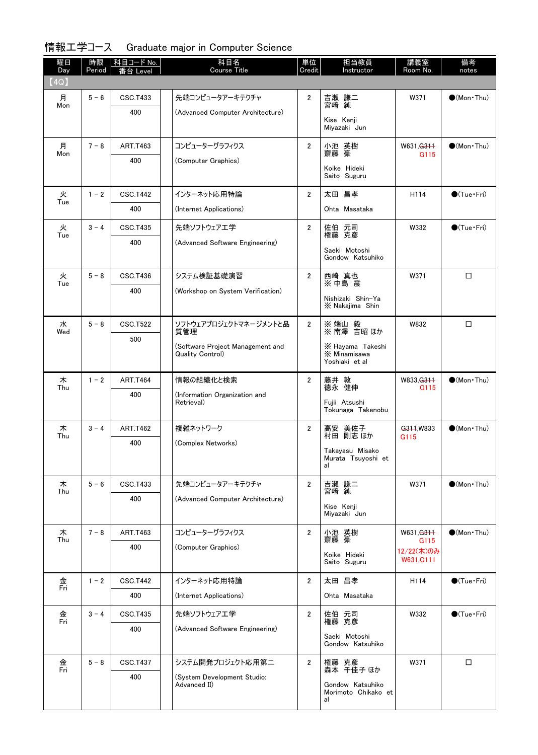|  | 情報工学コース Graduate major in Computer Science |  |  |  |  |
|--|--------------------------------------------|--|--|--|--|
|--|--------------------------------------------|--|--|--|--|

| 曜日<br>Day | 時限<br>Period | 科目コード No.<br>番台 Level | 科目名<br>Course Title                         | 単位<br>Credit   | 担当教員<br>Instructor                          | 講義室<br>Room No.    | 備考<br>notes            |
|-----------|--------------|-----------------------|---------------------------------------------|----------------|---------------------------------------------|--------------------|------------------------|
| (4Q)      |              |                       |                                             |                |                                             |                    |                        |
| 月<br>Mon  | $5 - 6$      | <b>CSC.T433</b>       | 先端コンピュータアーキテクチャ                             | $\overline{2}$ | 吉瀬 謙二<br>宮﨑 純                               | W371               | $\bullet$ (Mon · Thu)  |
|           |              | 400                   | (Advanced Computer Architecture)            |                | Kise Kenji                                  |                    |                        |
|           |              |                       |                                             |                | Miyazaki Jun                                |                    |                        |
| 月<br>Mon  | $7 - 8$      | <b>ART.T463</b>       | コンピューターグラフィクス                               | $\overline{2}$ | 小池 英樹<br>齋藤 豪                               | W631, G311<br>G115 | $\bullet$ (Mon · Thu)  |
|           |              | 400                   | (Computer Graphics)                         |                | Koike Hideki                                |                    |                        |
|           |              |                       |                                             |                | Saito Suguru                                |                    |                        |
| 火<br>Tue  | $1 - 2$      | <b>CSC.T442</b>       | インターネット応用特論                                 | $\overline{2}$ | 太田 昌孝                                       | H114               | $\bigcirc$ (Tue·Fri)   |
|           |              | 400                   | (Internet Applications)                     |                | Ohta Masataka                               |                    |                        |
| 火<br>Tue  | $3 - 4$      | <b>CSC.T435</b>       | 先端ソフトウェアエ学                                  | $\overline{2}$ | 佐伯 元司<br>権藤 克彦                              | W332               | $\bigcirc$ (Tue·Fri)   |
|           |              | 400                   | (Advanced Software Engineering)             |                | Saeki Motoshi                               |                    |                        |
|           |              |                       |                                             |                | Gondow Katsuhiko                            |                    |                        |
| 火<br>Tue  | $5 - 8$      | <b>CSC.T436</b>       | システム検証基礎演習                                  | $\overline{2}$ | 西崎 真也<br>※中島 震                              | W371               | □                      |
|           |              | 400                   | (Workshop on System Verification)           |                | Nishizaki Shin-Ya                           |                    |                        |
|           |              |                       |                                             |                | X Nakajima Shin                             |                    |                        |
| 水<br>Wed  | $5 - 8$      | <b>CSC.T522</b>       | ソフトウェアプロジェクトマネージメントと品<br>質管理                | $\overline{2}$ | ※ 端山 毅<br>※ 南澤 吉昭 ほか                        | W832               | □                      |
|           |              | 500                   | (Software Project Management and            |                | X Hayama Takeshi                            |                    |                        |
|           |              |                       | Quality Control)                            |                | X Minamisawa<br>Yoshiaki et al              |                    |                        |
| 木         | $1 - 2$      | <b>ART.T464</b>       | 情報の組織化と検索                                   | $\overline{2}$ |                                             | W833, G311         | $\bigcirc$ (Mon · Thu) |
| Thu       |              | 400                   | (Information Organization and               |                | 藤井 敦<br>德永 健伸                               | G <sub>115</sub>   |                        |
|           |              |                       | Retrieval)                                  |                | Fuiii Atsushi<br>Tokunaga Takenobu          |                    |                        |
| 木         | $3 - 4$      | <b>ART.T462</b>       | 複雑ネットワーク                                    | 2              | 高安 美佐子                                      | G311, W833         | $\bigcirc$ (Mon · Thu) |
| Thu       |              | 400                   | (Complex Networks)                          |                | 村田 剛志 ほか                                    | G115               |                        |
|           |              |                       |                                             |                | Takayasu Misako<br>Murata Isuyoshi et<br>al |                    |                        |
| 木         | $5 - 6$      | <b>CSC.T433</b>       | 先端コンピュータアーキテクチャ                             | $\mathbf{2}$   |                                             | W371               | $\bullet$ (Mon · Thu)  |
| Thu       |              | 400                   | (Advanced Computer Architecture)            |                | 吉瀬 謙二<br>宮﨑 純                               |                    |                        |
|           |              |                       |                                             |                | Kise Kenji<br>Miyazaki Jun                  |                    |                        |
| 木         | $7 - 8$      | <b>ART.T463</b>       | コンピューターグラフィクス                               | $\overline{2}$ | 小池 英樹<br>齋藤 豪                               | W631, G311         | $\bigcirc$ (Mon · Thu) |
| Thu       |              | 400                   | (Computer Graphics)                         |                |                                             | G115<br>12/22(木)のみ |                        |
|           |              |                       |                                             |                | Koike Hideki<br>Saito Suguru                | W631, G111         |                        |
| 金         | $1 - 2$      | <b>CSC.T442</b>       | インターネット応用特論                                 | $\overline{2}$ | 太田 昌孝                                       | H114               | $\bigcirc$ (Tue · Fri) |
| Fri       |              | 400                   | (Internet Applications)                     |                | Ohta Masataka                               |                    |                        |
| 金         | $3 - 4$      | CSC.T435              | 先端ソフトウェアエ学                                  | $\overline{2}$ | 佐伯 元司<br>権藤 克彦                              | W332               | $\bigcirc$ (Tue · Fri) |
| Fri       |              | 400                   | (Advanced Software Engineering)             |                | Saeki Motoshi                               |                    |                        |
|           |              |                       |                                             |                | Gondow Katsuhiko                            |                    |                        |
| 金<br>Fri  | $5 - 8$      | <b>CSC.T437</b>       | システム開発プロジェクト応用第二                            | $\overline{2}$ | 権藤 克彦<br>森本 千佳子ほか                           | W371               | $\Box$                 |
|           |              | 400                   | (System Development Studio:<br>Advanced II) |                | Gondow Katsuhiko                            |                    |                        |
|           |              |                       |                                             |                | Morimoto Chikako et<br>al                   |                    |                        |
|           |              |                       |                                             |                |                                             |                    |                        |